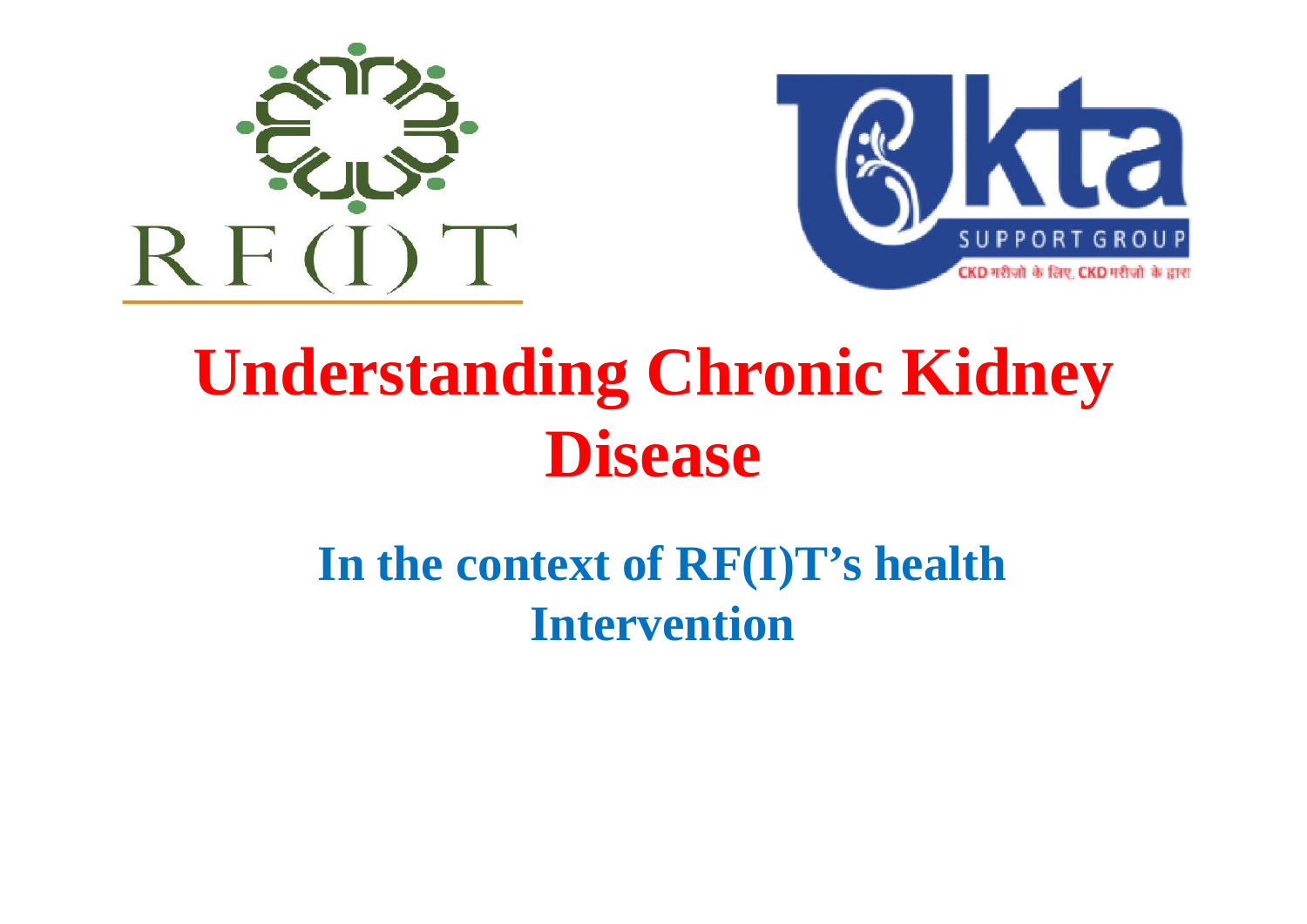



### **Understanding Chronic Kidney Disease**

#### **In the context of RF(I)T's health Intervention**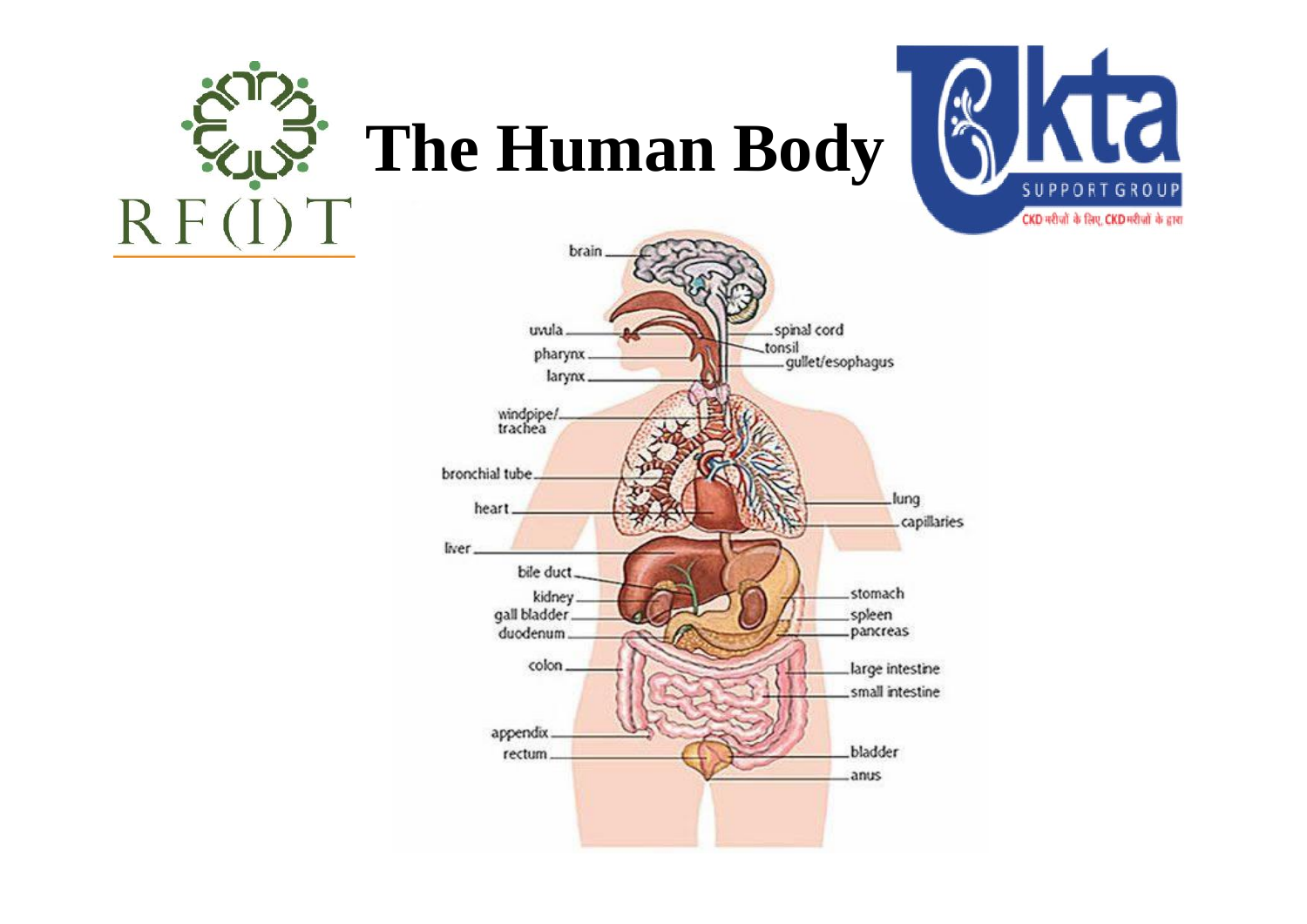

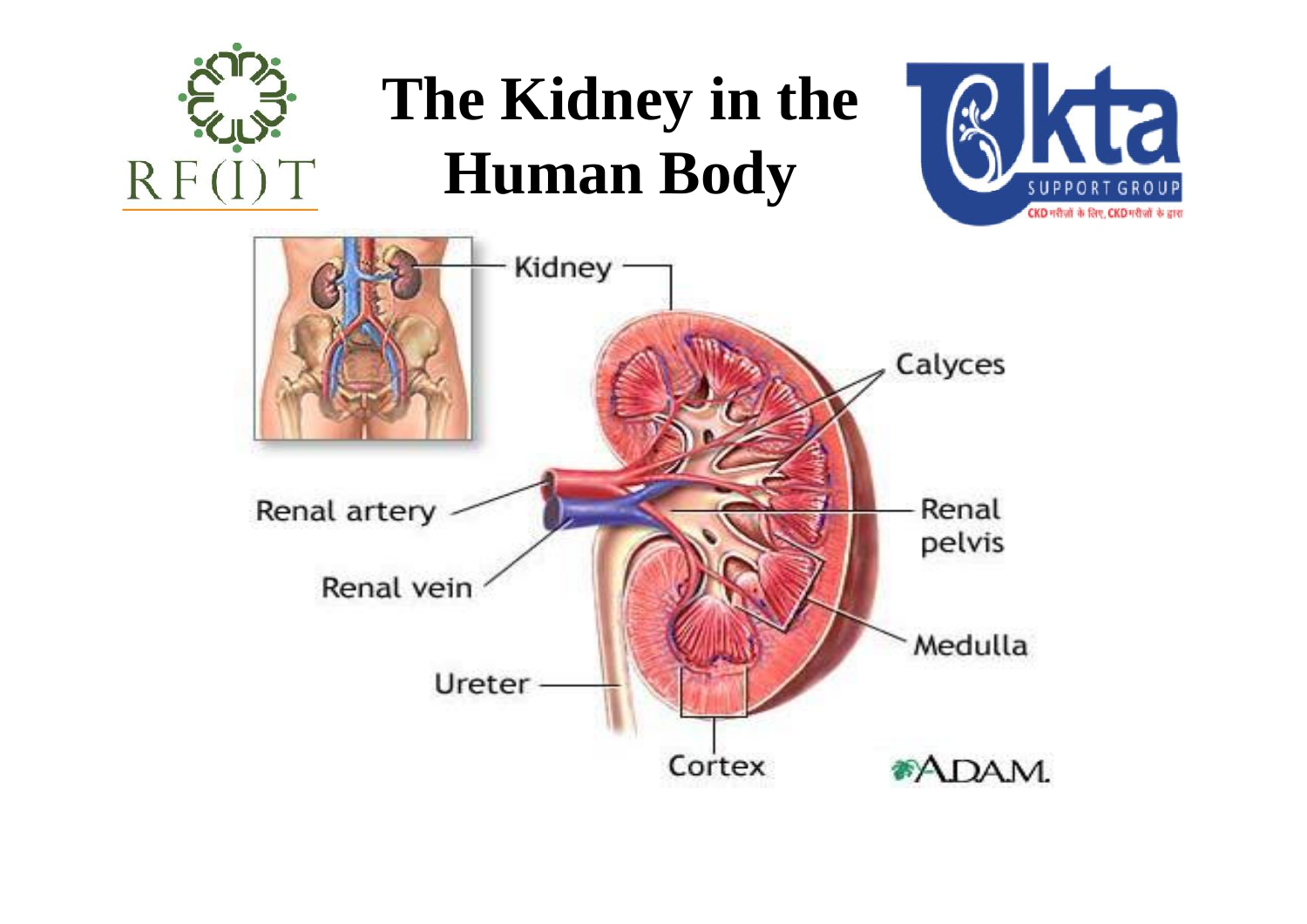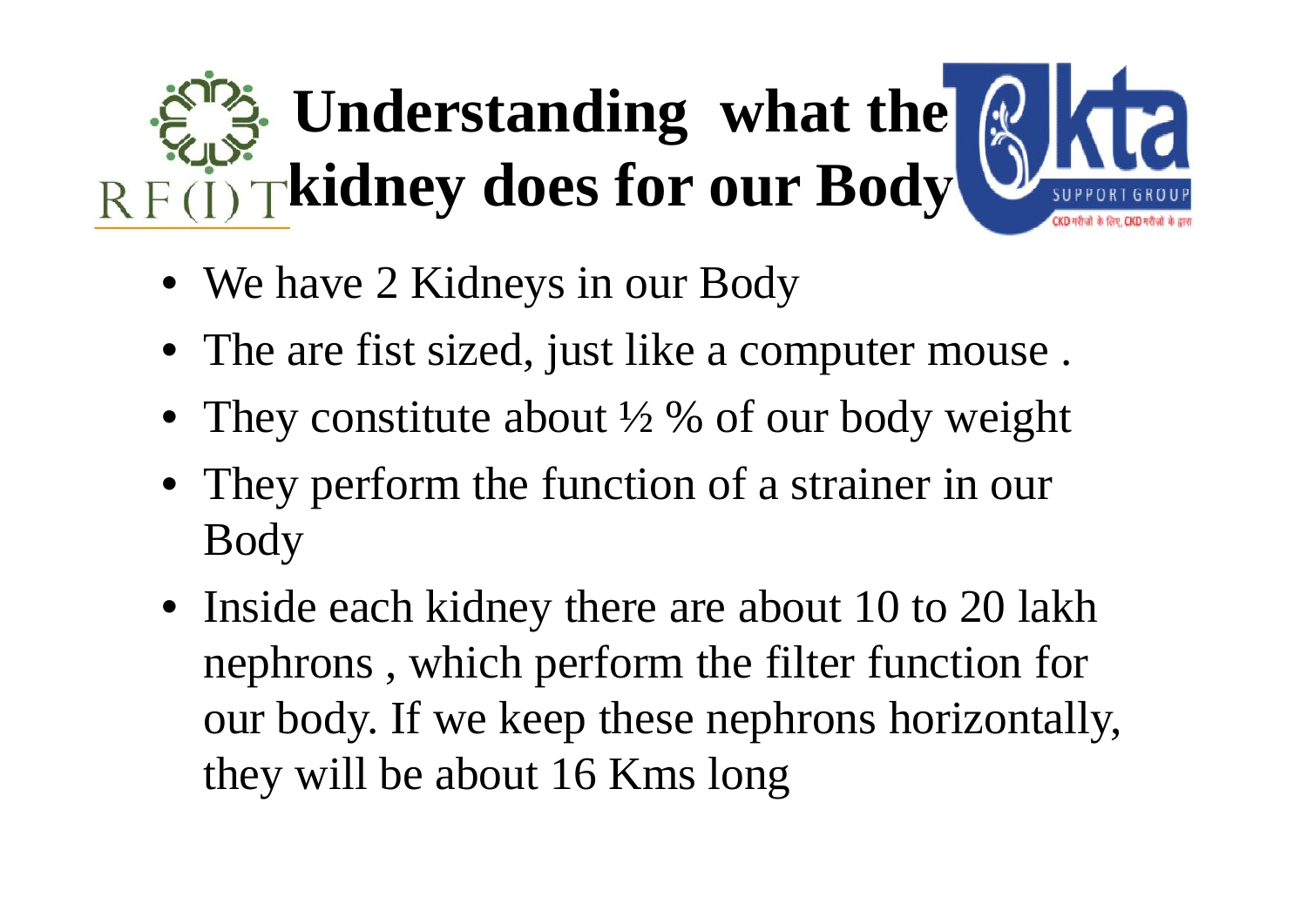# **Understanding what the QIKT kidney does for our Body**

- We have 2 Kidneys in our Body
- The are fist sized, just like a computer mouse.
- They constitute about  $\frac{1}{2}$  % of our body weight
- They perform the function of a strainer in our Body
- Inside each kidney there are about 10 to 20 lakh nephrons , which perform the filter function for our body. If we keep these nephrons horizontally, they will be about 16 Kms long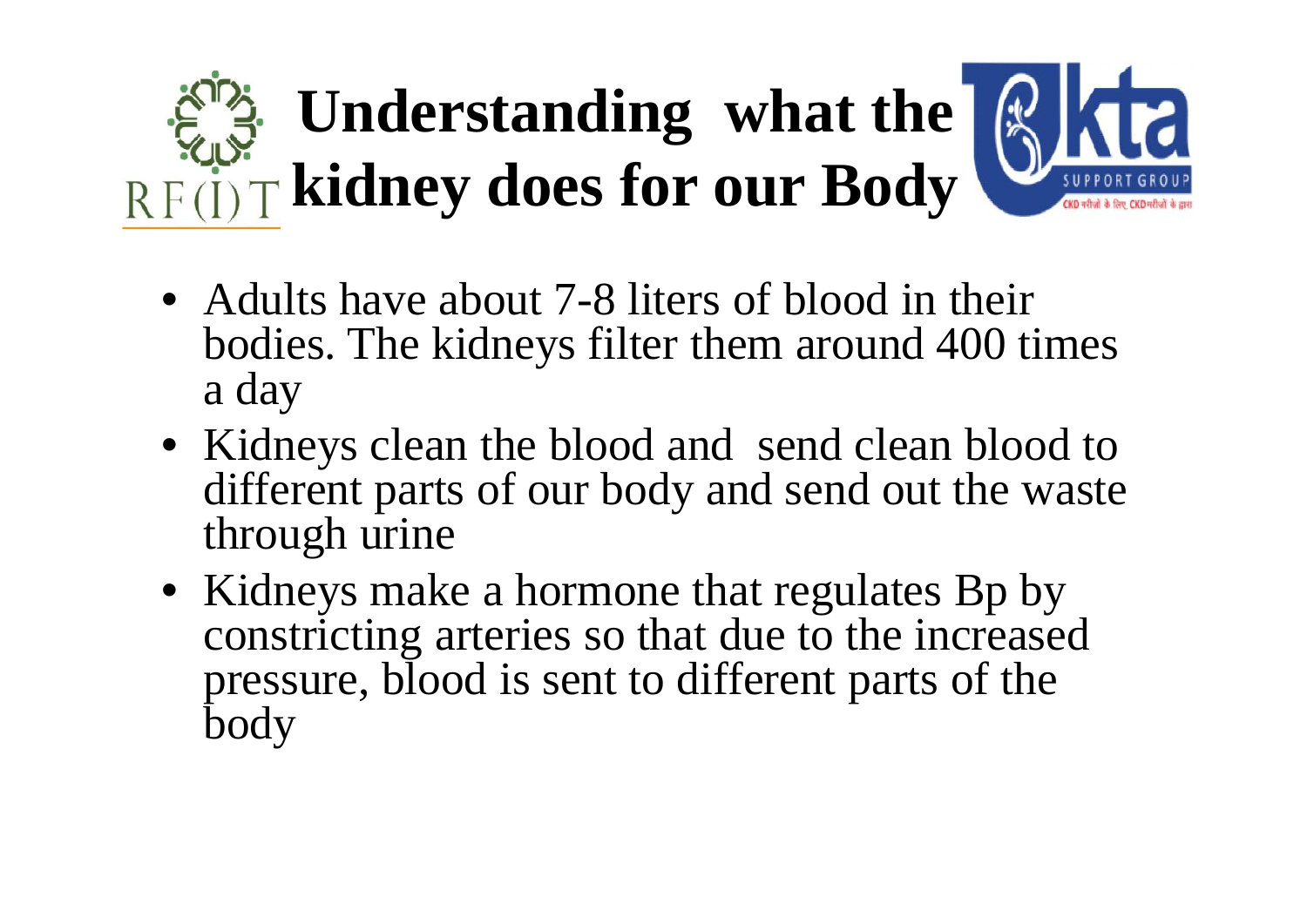## **Understanding what the RKK kidney does for our Body**



- Adults have about 7-8 liters of blood in their bodies. The kidneys filter them around 400 times a day
- Kidneys clean the blood and send clean blood to different parts of our body and send out the waste through urine
- Kidneys make a hormone that regulates Bp by constricting arteries so that due to the increased pressure, blood is sent to different parts of the body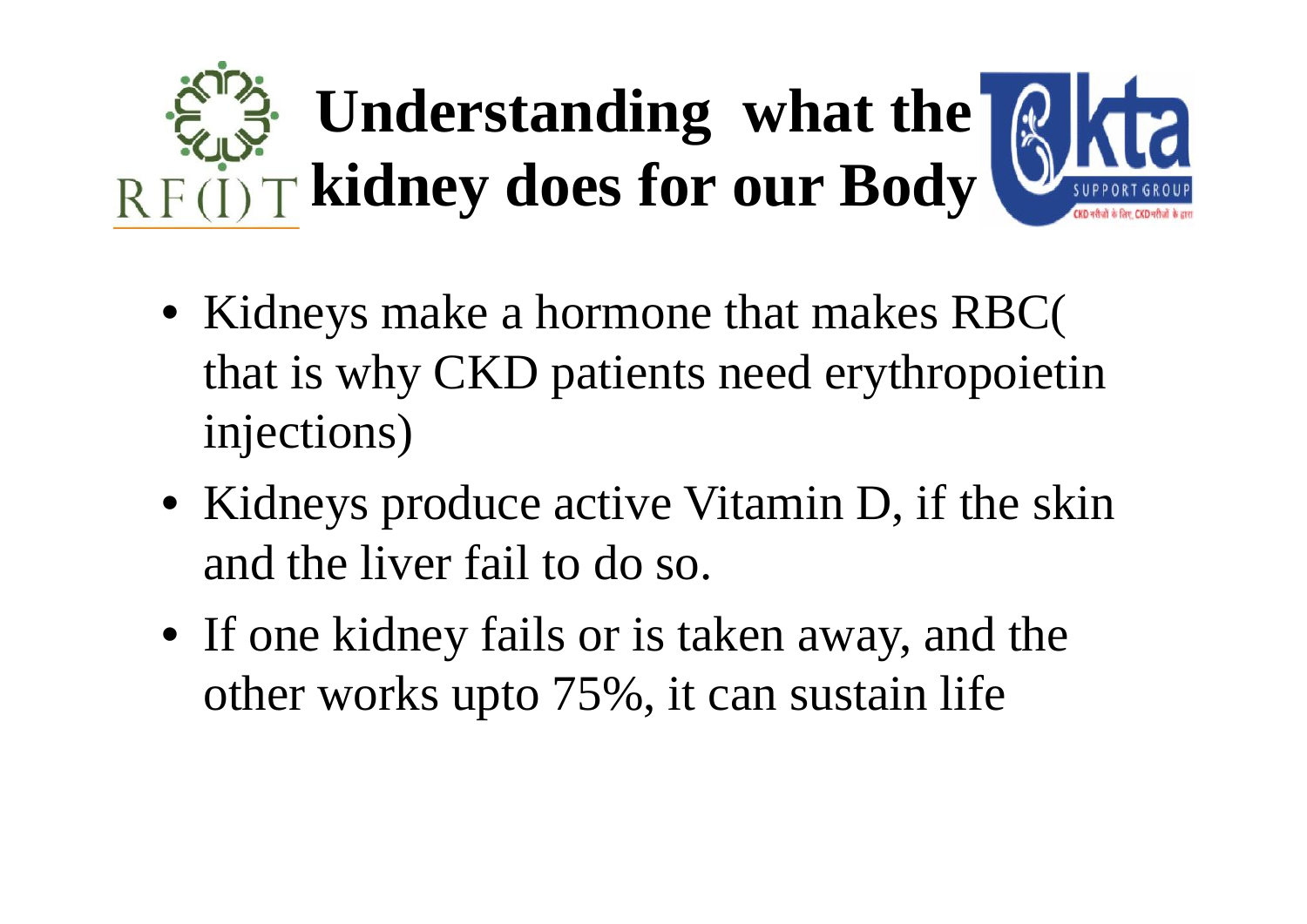# **Understanding what the Q C F kidney does for our Body**

- Kidneys make a hormone that makes RBC( that is why CKD patients need erythropoietin injections)
- Kidneys produce active Vitamin D, if the skin and the liver fail to do so.
- If one kidney fails or is taken away, and the other works upto 75%, it can sustain life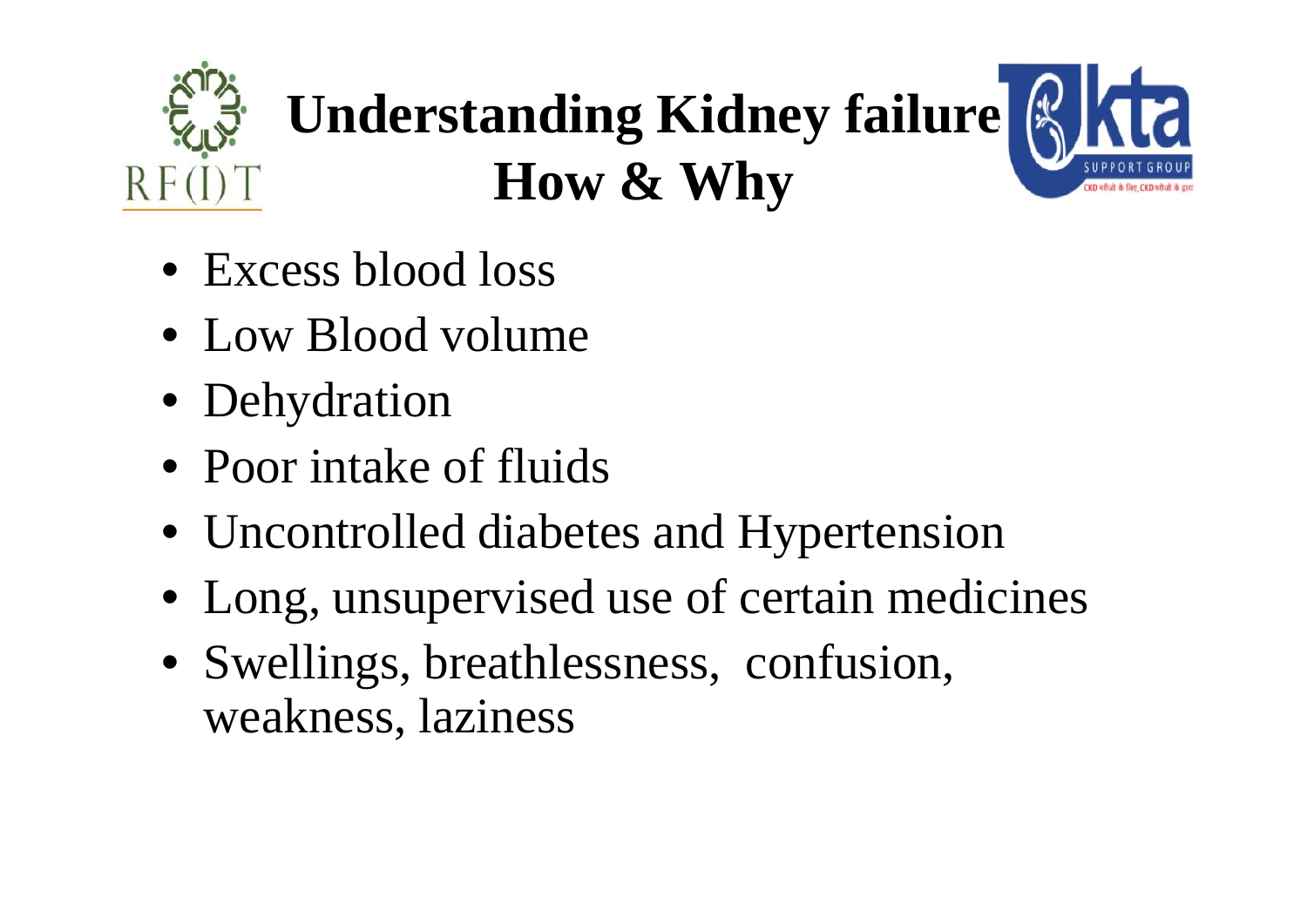## **Understanding Kidney failure How & Why**

- Excess blood loss
- Low Blood volume
- Dehydration
- Poor intake of fluids
- Uncontrolled diabetes and Hypertension
- Long, unsupervised use of certain medicines
- Swellings, breathlessness, confusion, weakness, laziness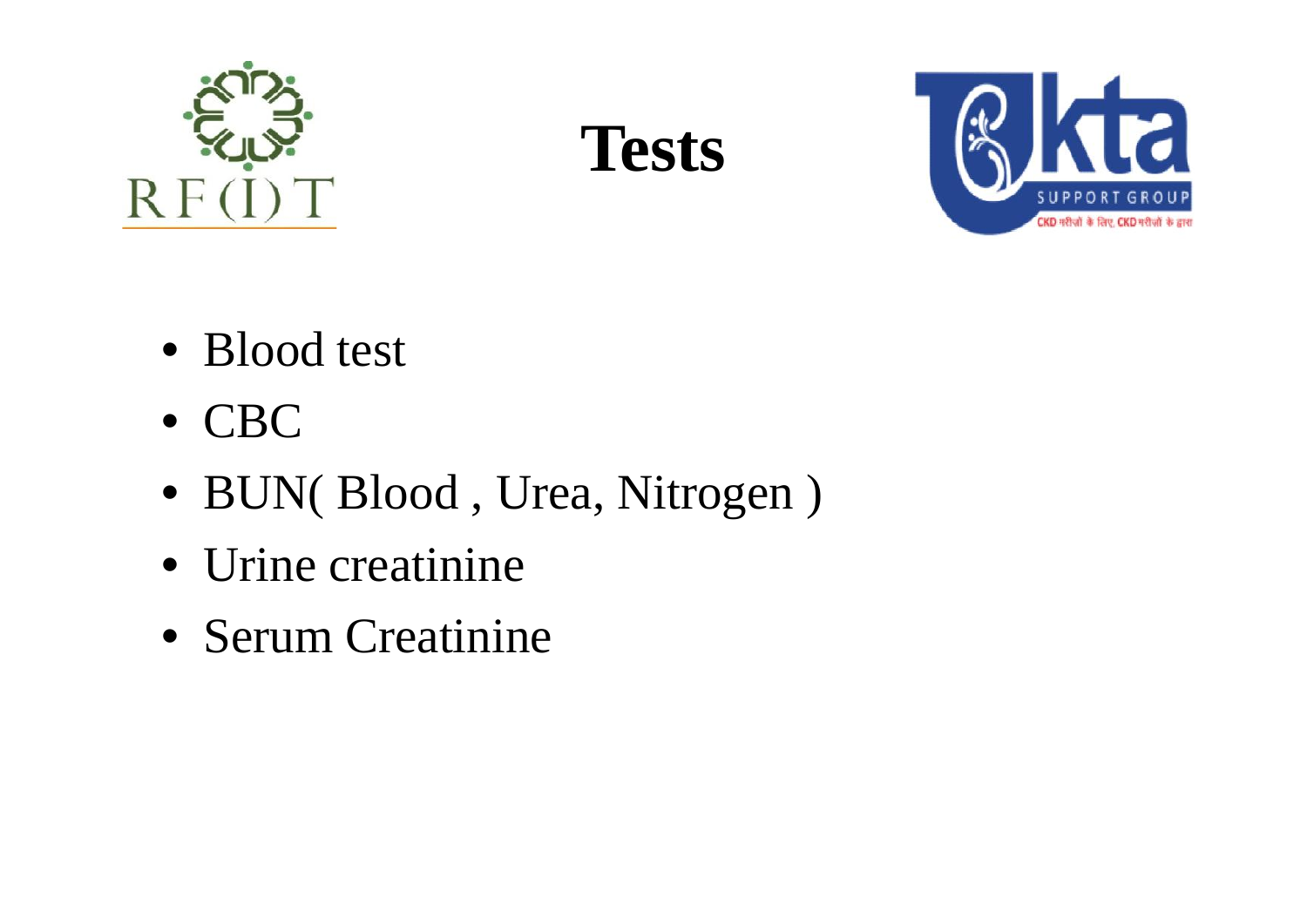





- Blood test
- CBC
- BUN( Blood , Urea, Nitrogen )
- Urine creatinine
- Serum Creatinine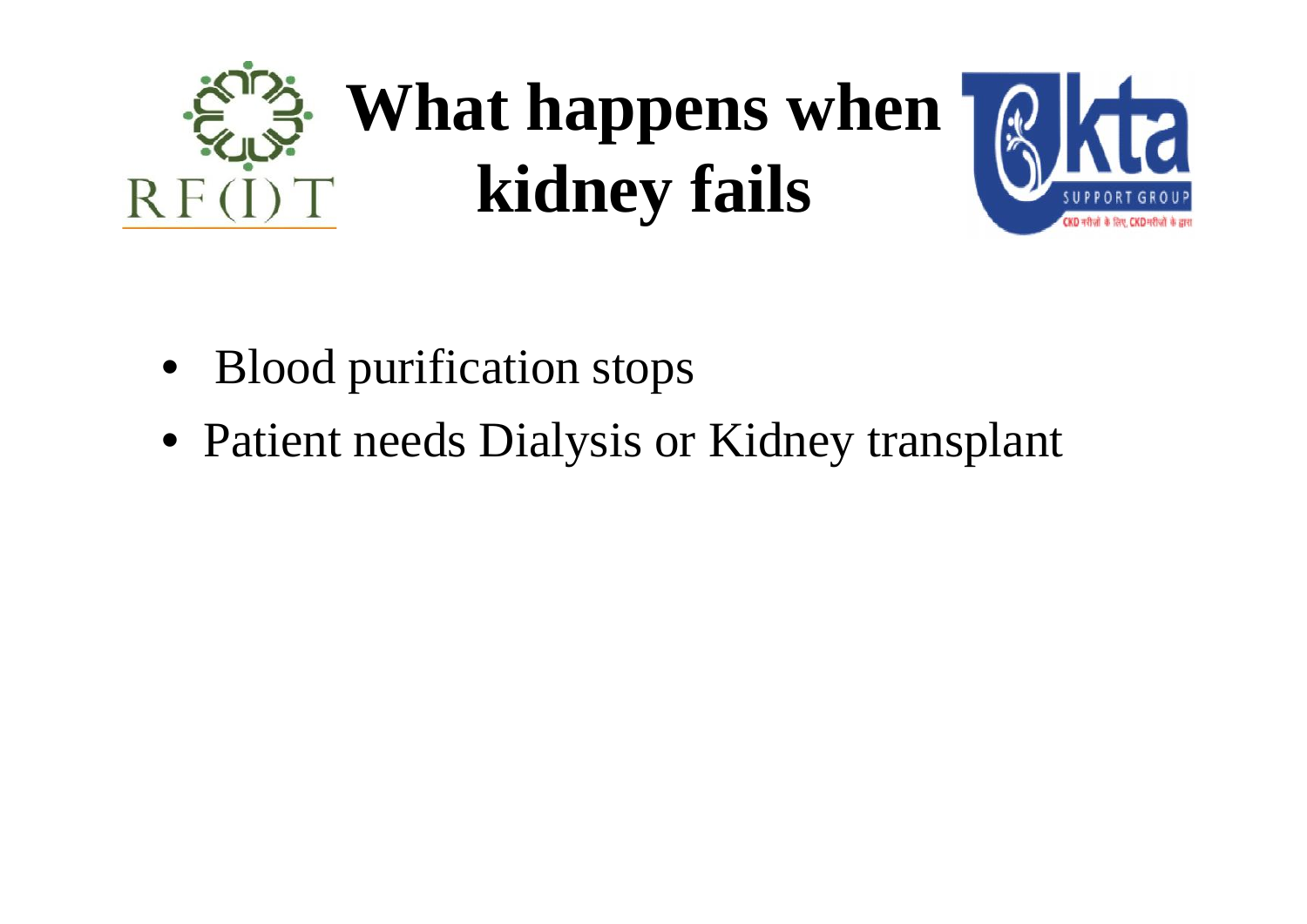



- Blood purification stops
- Patient needs Dialysis or Kidney transplant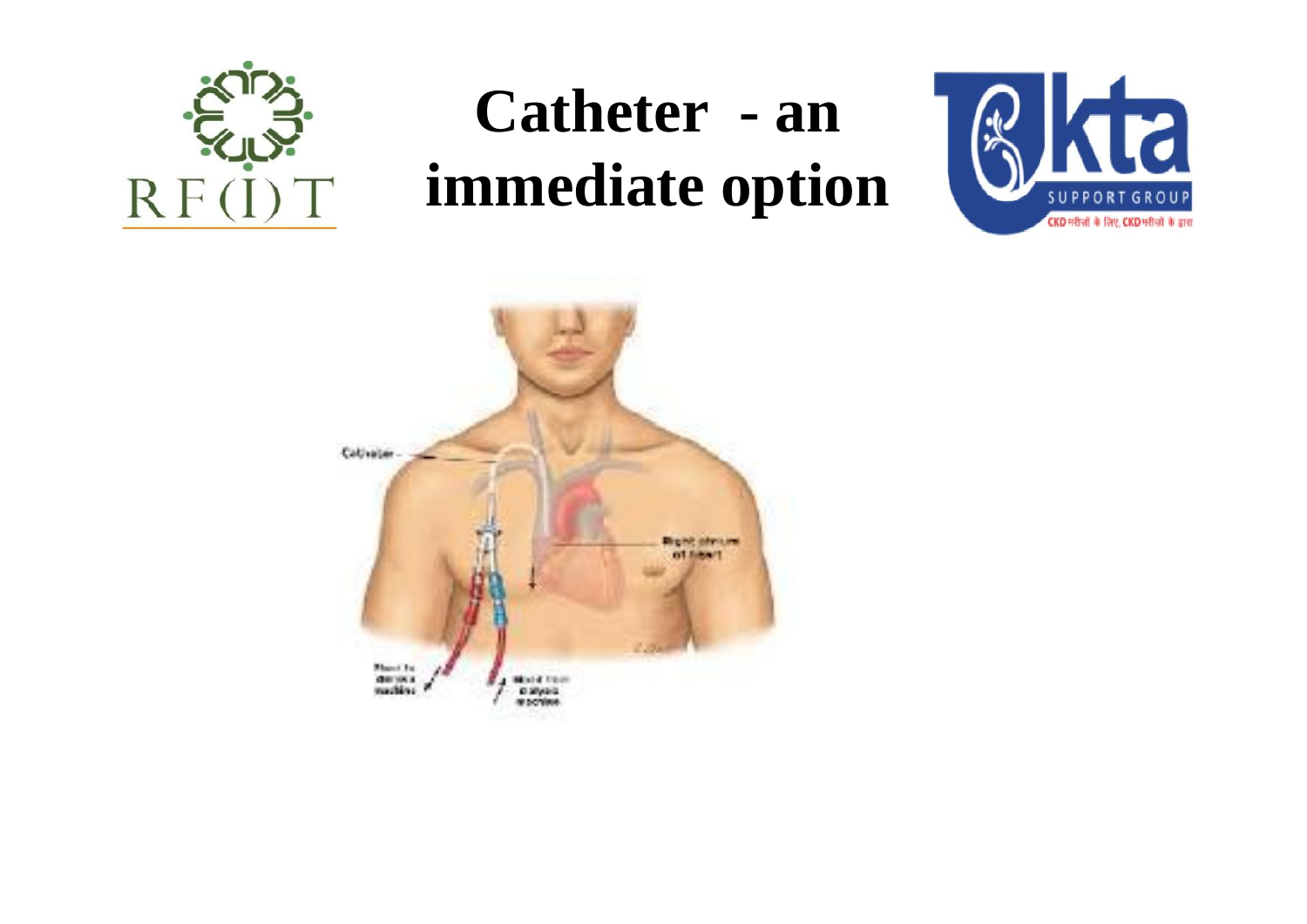

#### Catheter - an **RR immediate option**



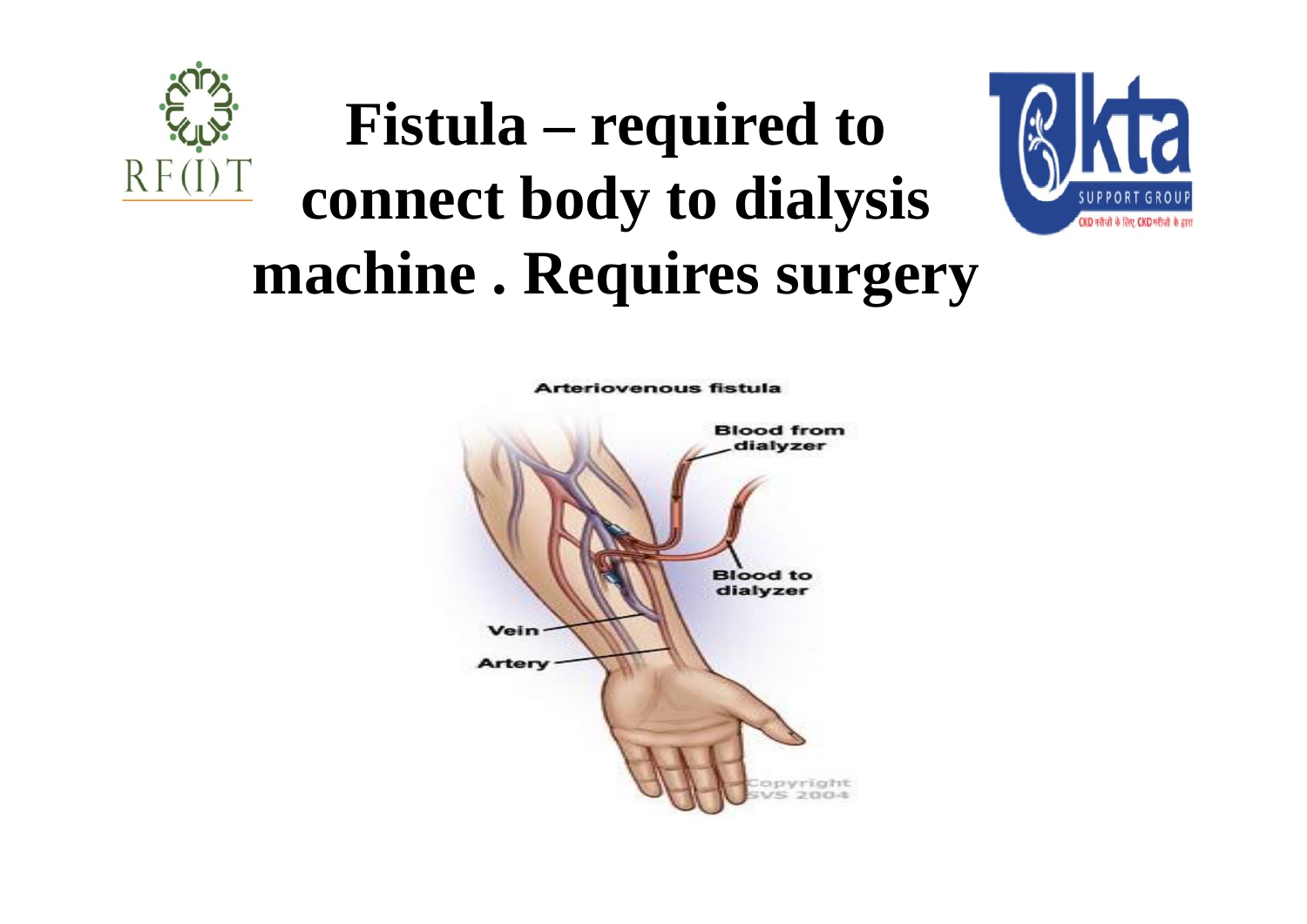

### **Fistula – required to connect body to dialysis machine . Requires surgery**



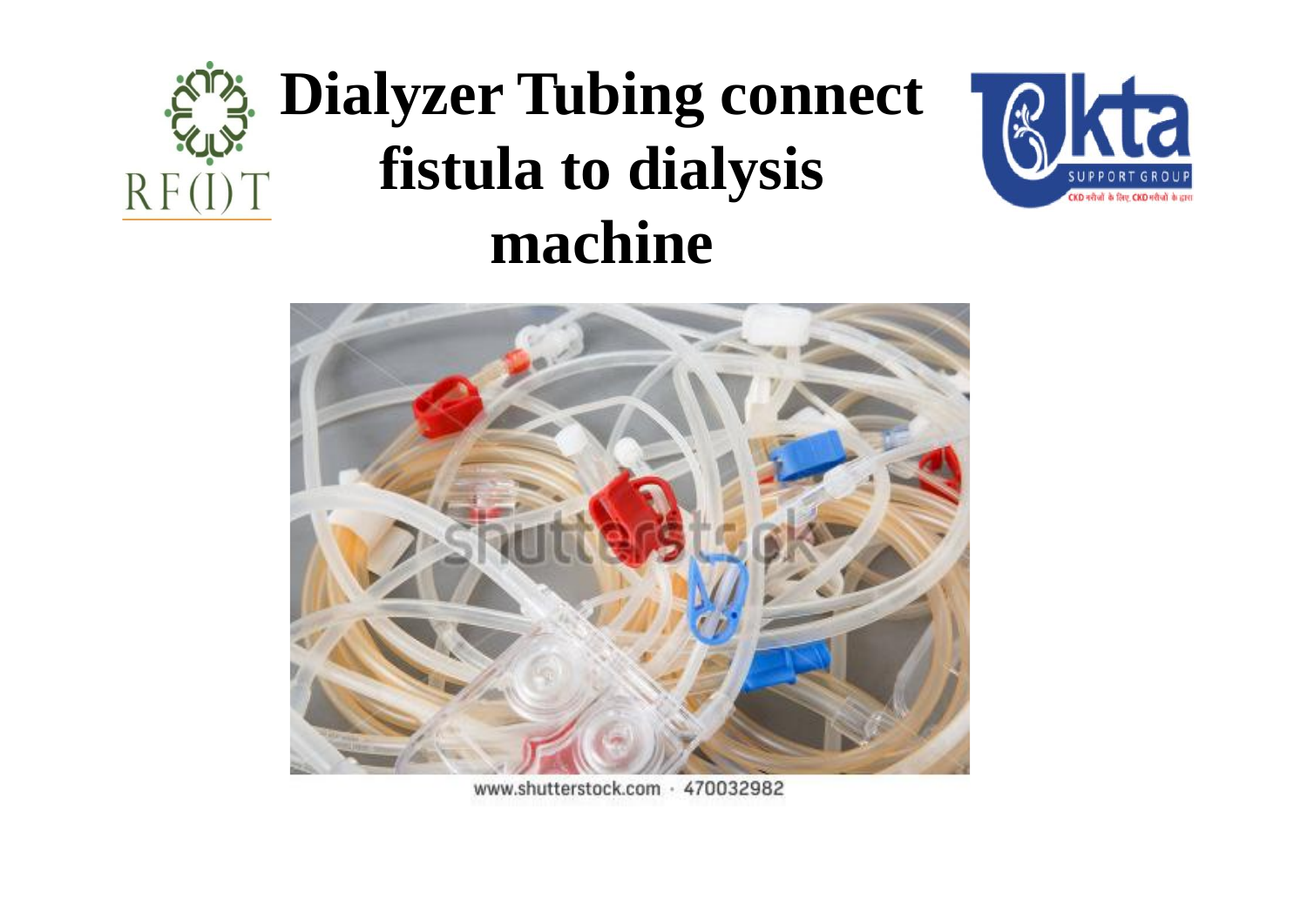#### **Dialyzer Tubing connect** RRR **fistula to dialysis**  $RF(I)T$ **machine**





www.shutterstock.com · 470032982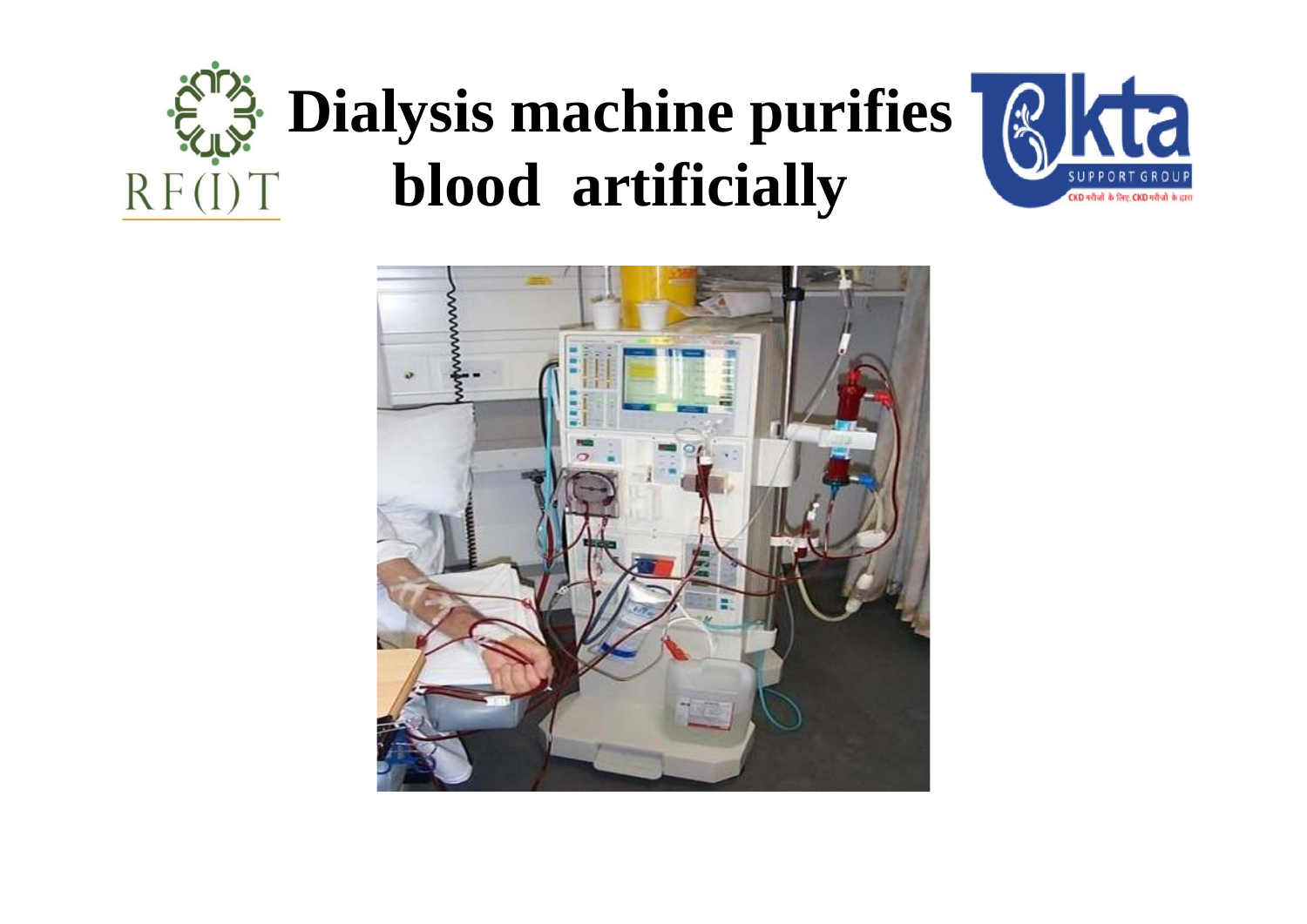#### **Dialysis machine purifies RR blood artificially** $RF(I)T$



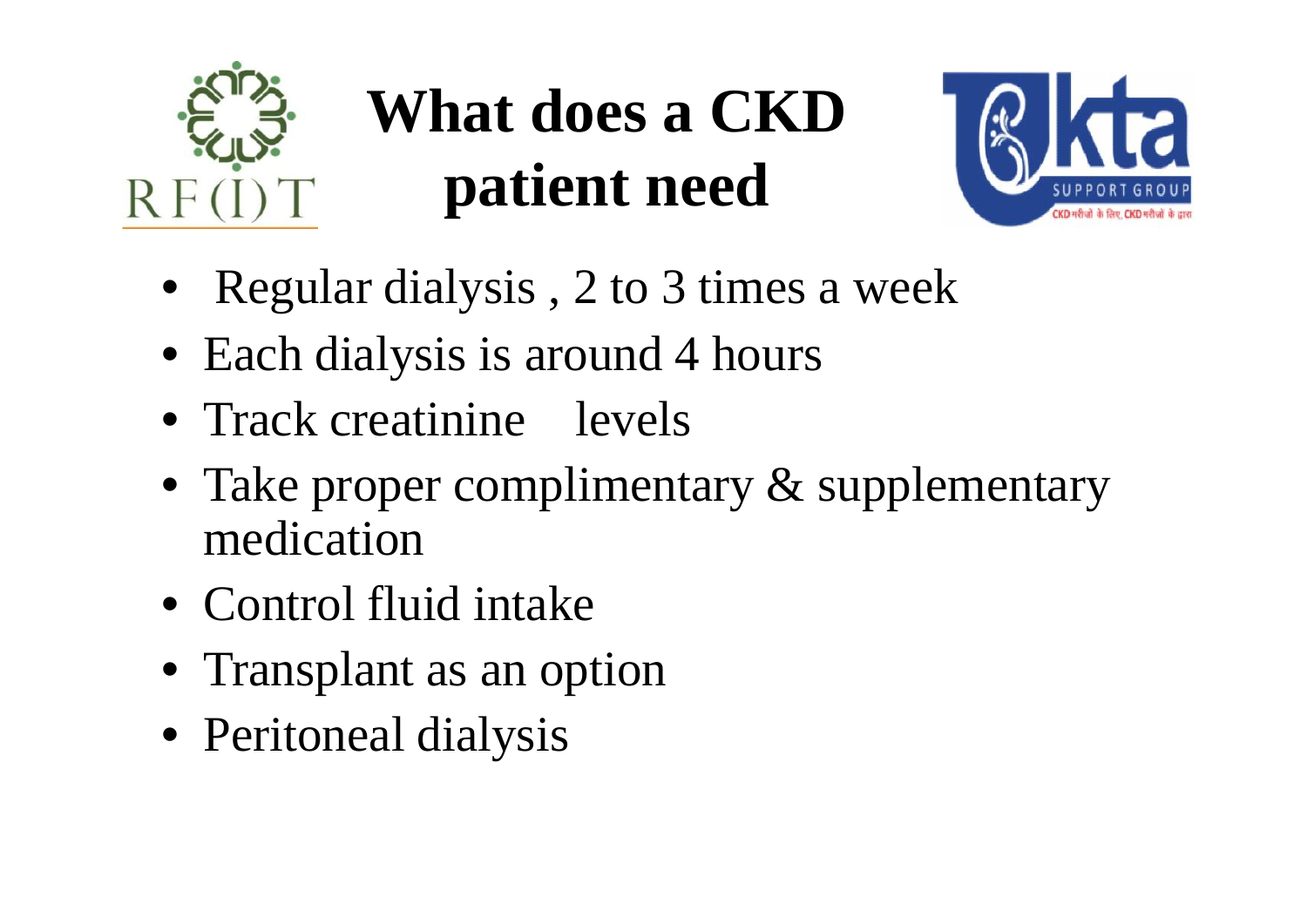

### **What does a CKD patient need**



- Regular dialysis, 2 to 3 times a week
- Each dialysis is around 4 hours
- Track creatinine levels
- Take proper complimentary & supplementary medication
- Control fluid intake
- Transplant as an option
- Peritoneal dialysis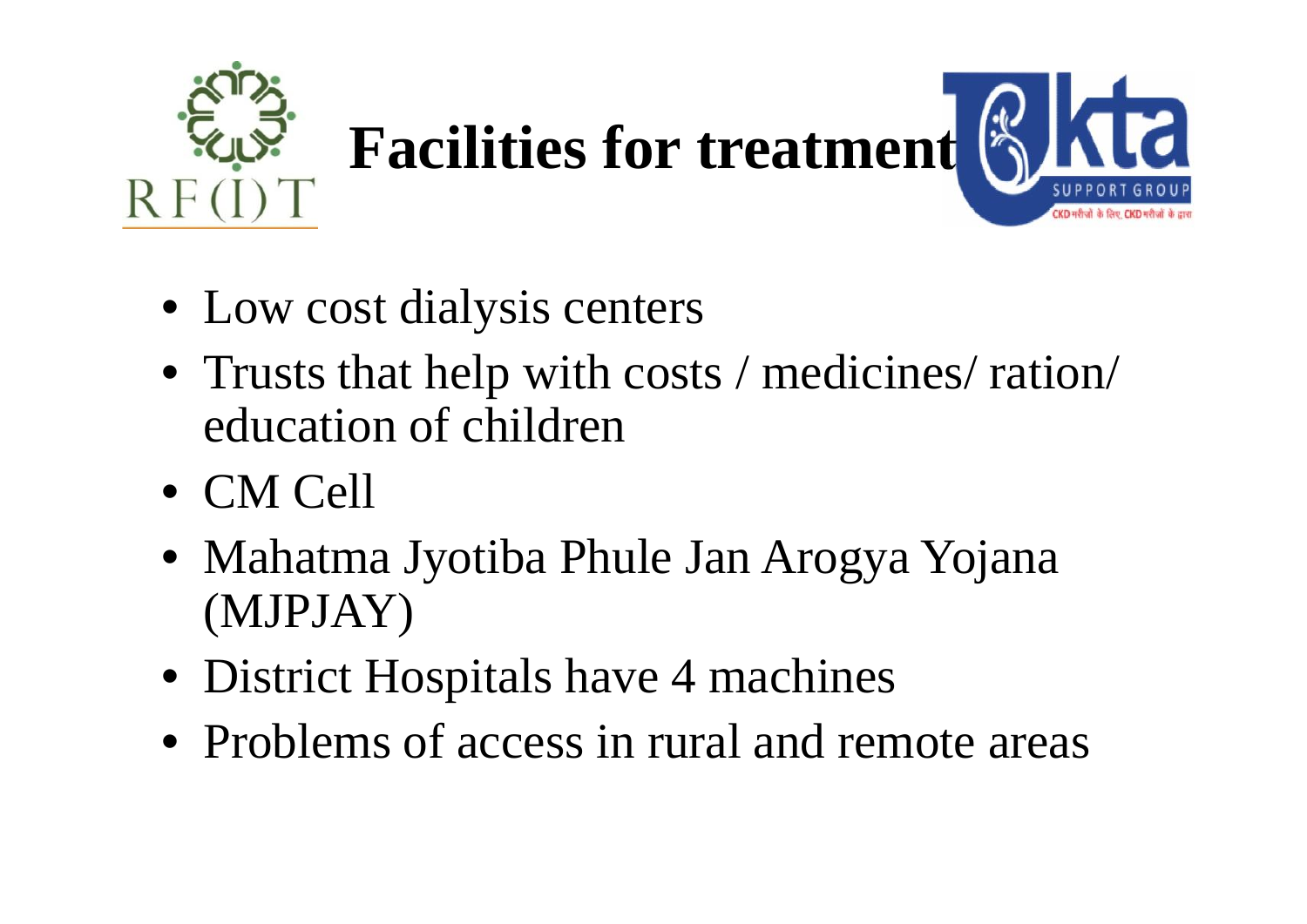

- Low cost dialysis centers
- Trusts that help with costs / medicines/ ration/ education of children
- CM Cell
- Mahatma Jyotiba Phule Jan Arogya Yojana (MJPJAY)
- District Hospitals have 4 machines
- Problems of access in rural and remote areas